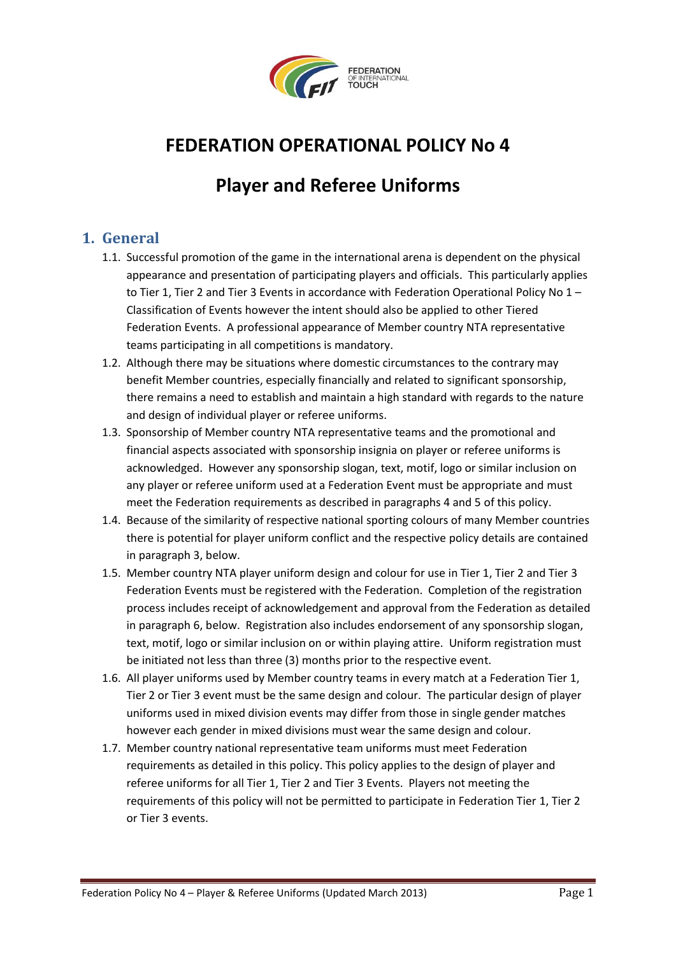

# **FEDERATION OPERATIONAL POLICY No 4**

# **Player and Referee Uniforms**

#### **1. General**

- 1.1. Successful promotion of the game in the international arena is dependent on the physical appearance and presentation of participating players and officials. This particularly applies to Tier 1, Tier 2 and Tier 3 Events in accordance with Federation Operational Policy No 1 -Classification of Events however the intent should also be applied to other Tiered Federation Events. A professional appearance of Member country NTA representative teams participating in all competitions is mandatory.
- 1.2. Although there may be situations where domestic circumstances to the contrary may benefit Member countries, especially financially and related to significant sponsorship, there remains a need to establish and maintain a high standard with regards to the nature and design of individual player or referee uniforms.
- 1.3. Sponsorship of Member country NTA representative teams and the promotional and financial aspects associated with sponsorship insignia on player or referee uniforms is acknowledged. However any sponsorship slogan, text, motif, logo or similar inclusion on any player or referee uniform used at a Federation Event must be appropriate and must meet the Federation requirements as described in paragraphs 4 and 5 of this policy.
- 1.4. Because of the similarity of respective national sporting colours of many Member countries there is potential for player uniform conflict and the respective policy details are contained in paragraph 3, below.
- 1.5. Member country NTA player uniform design and colour for use in Tier 1, Tier 2 and Tier 3 Federation Events must be registered with the Federation. Completion of the registration process includes receipt of acknowledgement and approval from the Federation as detailed in paragraph 6, below. Registration also includes endorsement of any sponsorship slogan, text, motif, logo or similar inclusion on or within playing attire. Uniform registration must be initiated not less than three (3) months prior to the respective event.
- 1.6. All player uniforms used by Member country teams in every match at a Federation Tier 1, Tier 2 or Tier 3 event must be the same design and colour. The particular design of player uniforms used in mixed division events may differ from those in single gender matches however each gender in mixed divisions must wear the same design and colour.
- 1.7. Member country national representative team uniforms must meet Federation requirements as detailed in this policy. This policy applies to the design of player and referee uniforms for all Tier 1, Tier 2 and Tier 3 Events. Players not meeting the requirements of this policy will not be permitted to participate in Federation Tier 1, Tier 2 or Tier 3 events.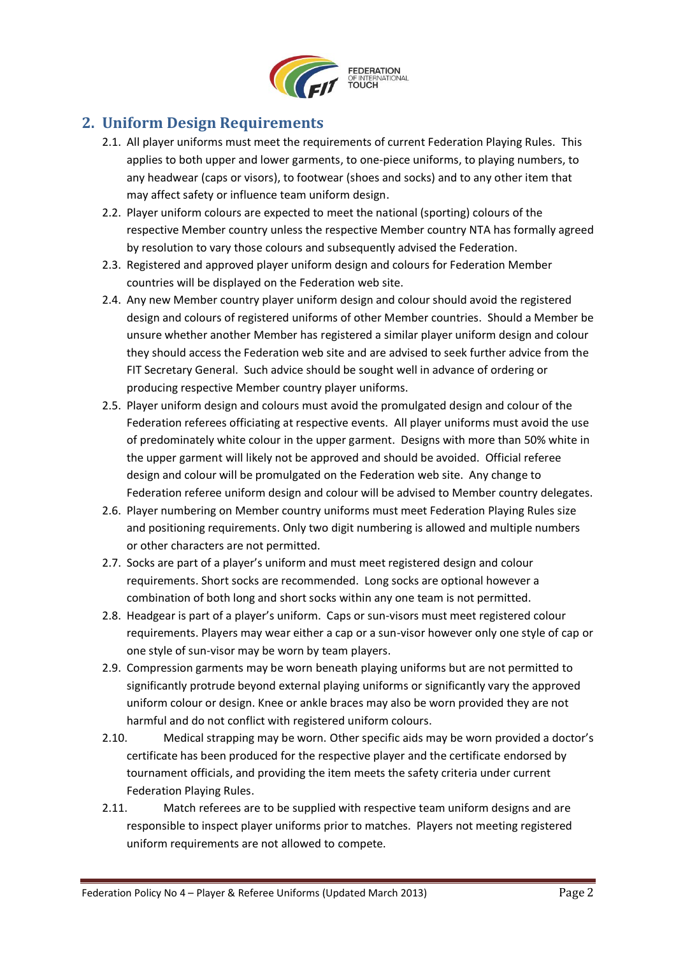

### **2. Uniform Design Requirements**

- 2.1. All player uniforms must meet the requirements of current Federation Playing Rules. This applies to both upper and lower garments, to one-piece uniforms, to playing numbers, to any headwear (caps or visors), to footwear (shoes and socks) and to any other item that may affect safety or influence team uniform design.
- 2.2. Player uniform colours are expected to meet the national (sporting) colours of the respective Member country unless the respective Member country NTA has formally agreed by resolution to vary those colours and subsequently advised the Federation.
- 2.3. Registered and approved player uniform design and colours for Federation Member countries will be displayed on the Federation web site.
- 2.4. Any new Member country player uniform design and colour should avoid the registered design and colours of registered uniforms of other Member countries. Should a Member be unsure whether another Member has registered a similar player uniform design and colour they should access the Federation web site and are advised to seek further advice from the FIT Secretary General. Such advice should be sought well in advance of ordering or producing respective Member country player uniforms.
- 2.5. Player uniform design and colours must avoid the promulgated design and colour of the Federation referees officiating at respective events. All player uniforms must avoid the use of predominately white colour in the upper garment. Designs with more than 50% white in the upper garment will likely not be approved and should be avoided. Official referee design and colour will be promulgated on the Federation web site. Any change to Federation referee uniform design and colour will be advised to Member country delegates.
- 2.6. Player numbering on Member country uniforms must meet Federation Playing Rules size and positioning requirements. Only two digit numbering is allowed and multiple numbers or other characters are not permitted.
- 2.7. Socks are part of a player's uniform and must meet registered design and colour requirements. Short socks are recommended. Long socks are optional however a combination of both long and short socks within any one team is not permitted.
- 2.8. Headgear is part of a player's uniform. Caps or sun-visors must meet registered colour requirements. Players may wear either a cap or a sun-visor however only one style of cap or one style of sun-visor may be worn by team players.
- 2.9. Compression garments may be worn beneath playing uniforms but are not permitted to significantly protrude beyond external playing uniforms or significantly vary the approved uniform colour or design. Knee or ankle braces may also be worn provided they are not harmful and do not conflict with registered uniform colours.
- 2.10. Medical strapping may be worn. Other specific aids may be worn provided a doctor's certificate has been produced for the respective player and the certificate endorsed by tournament officials, and providing the item meets the safety criteria under current Federation Playing Rules.
- 2.11. Match referees are to be supplied with respective team uniform designs and are responsible to inspect player uniforms prior to matches. Players not meeting registered uniform requirements are not allowed to compete.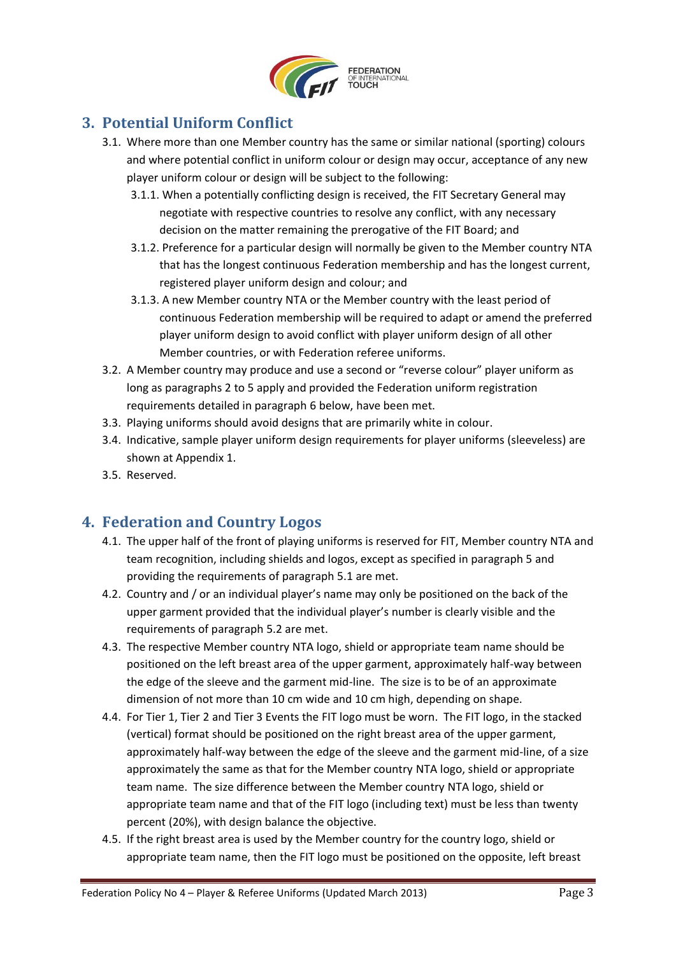

### **3. Potential Uniform Conflict**

- 3.1. Where more than one Member country has the same or similar national (sporting) colours and where potential conflict in uniform colour or design may occur, acceptance of any new player uniform colour or design will be subject to the following:
	- 3.1.1. When a potentially conflicting design is received, the FIT Secretary General may negotiate with respective countries to resolve any conflict, with any necessary decision on the matter remaining the prerogative of the FIT Board; and
	- 3.1.2. Preference for a particular design will normally be given to the Member country NTA that has the longest continuous Federation membership and has the longest current, registered player uniform design and colour; and
	- 3.1.3. A new Member country NTA or the Member country with the least period of continuous Federation membership will be required to adapt or amend the preferred player uniform design to avoid conflict with player uniform design of all other Member countries, or with Federation referee uniforms.
- 3.2. A Member country may produce and use a second or "reverse colour" player uniform as long as paragraphs 2 to 5 apply and provided the Federation uniform registration requirements detailed in paragraph 6 below, have been met.
- 3.3. Playing uniforms should avoid designs that are primarily white in colour.
- 3.4. Indicative, sample player uniform design requirements for player uniforms (sleeveless) are shown at Appendix 1.
- 3.5. Reserved.

### **4. Federation and Country Logos**

- 4.1. The upper half of the front of playing uniforms is reserved for FIT, Member country NTA and team recognition, including shields and logos, except as specified in paragraph 5 and providing the requirements of paragraph 5.1 are met.
- 4.2. Country and / or an individual player's name may only be positioned on the back of the upper garment provided that the individual player's number is clearly visible and the requirements of paragraph 5.2 are met.
- 4.3. The respective Member country NTA logo, shield or appropriate team name should be positioned on the left breast area of the upper garment, approximately half-way between the edge of the sleeve and the garment mid-line. The size is to be of an approximate dimension of not more than 10 cm wide and 10 cm high, depending on shape.
- 4.4. For Tier 1, Tier 2 and Tier 3 Events the FIT logo must be worn. The FIT logo, in the stacked (vertical) format should be positioned on the right breast area of the upper garment, approximately half-way between the edge of the sleeve and the garment mid-line, of a size approximately the same as that for the Member country NTA logo, shield or appropriate team name. The size difference between the Member country NTA logo, shield or appropriate team name and that of the FIT logo (including text) must be less than twenty percent (20%), with design balance the objective.
- 4.5. If the right breast area is used by the Member country for the country logo, shield or appropriate team name, then the FIT logo must be positioned on the opposite, left breast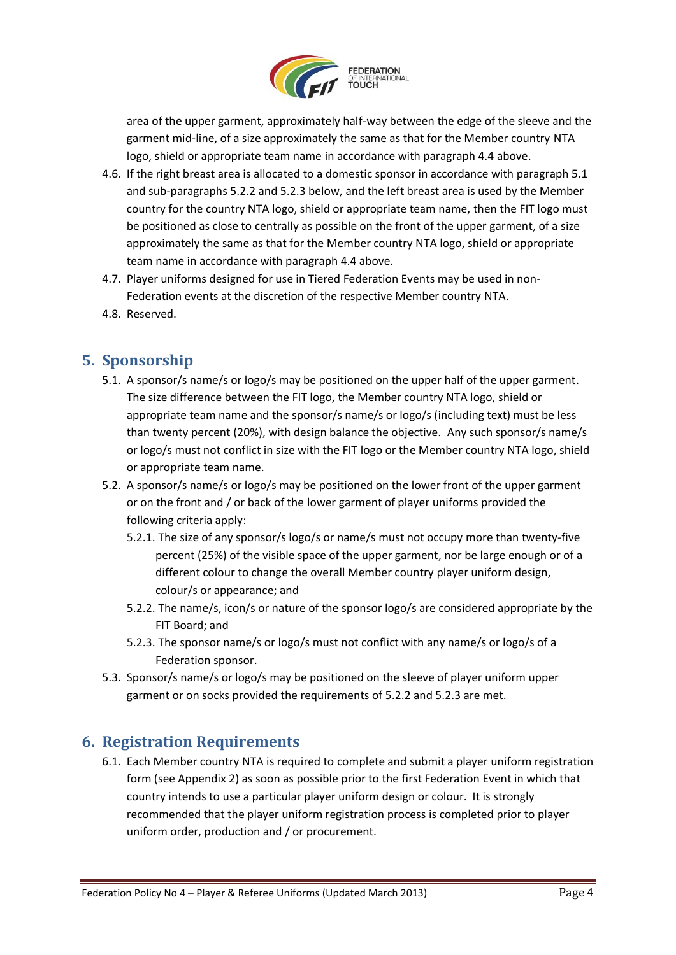

area of the upper garment, approximately half-way between the edge of the sleeve and the garment mid-line, of a size approximately the same as that for the Member country NTA logo, shield or appropriate team name in accordance with paragraph 4.4 above.

- 4.6. If the right breast area is allocated to a domestic sponsor in accordance with paragraph 5.1 and sub-paragraphs 5.2.2 and 5.2.3 below, and the left breast area is used by the Member country for the country NTA logo, shield or appropriate team name, then the FIT logo must be positioned as close to centrally as possible on the front of the upper garment, of a size approximately the same as that for the Member country NTA logo, shield or appropriate team name in accordance with paragraph 4.4 above.
- 4.7. Player uniforms designed for use in Tiered Federation Events may be used in non-Federation events at the discretion of the respective Member country NTA.
- 4.8. Reserved.

### **5. Sponsorship**

- 5.1. A sponsor/s name/s or logo/s may be positioned on the upper half of the upper garment. The size difference between the FIT logo, the Member country NTA logo, shield or appropriate team name and the sponsor/s name/s or logo/s (including text) must be less than twenty percent (20%), with design balance the objective. Any such sponsor/s name/s or logo/s must not conflict in size with the FIT logo or the Member country NTA logo, shield or appropriate team name.
- 5.2. A sponsor/s name/s or logo/s may be positioned on the lower front of the upper garment or on the front and / or back of the lower garment of player uniforms provided the following criteria apply:
	- 5.2.1. The size of any sponsor/s logo/s or name/s must not occupy more than twenty-five percent (25%) of the visible space of the upper garment, nor be large enough or of a different colour to change the overall Member country player uniform design, colour/s or appearance; and
	- 5.2.2. The name/s, icon/s or nature of the sponsor logo/s are considered appropriate by the FIT Board; and
	- 5.2.3. The sponsor name/s or logo/s must not conflict with any name/s or logo/s of a Federation sponsor.
- 5.3. Sponsor/s name/s or logo/s may be positioned on the sleeve of player uniform upper garment or on socks provided the requirements of 5.2.2 and 5.2.3 are met.

### **6. Registration Requirements**

6.1. Each Member country NTA is required to complete and submit a player uniform registration form (see Appendix 2) as soon as possible prior to the first Federation Event in which that country intends to use a particular player uniform design or colour. It is strongly recommended that the player uniform registration process is completed prior to player uniform order, production and / or procurement.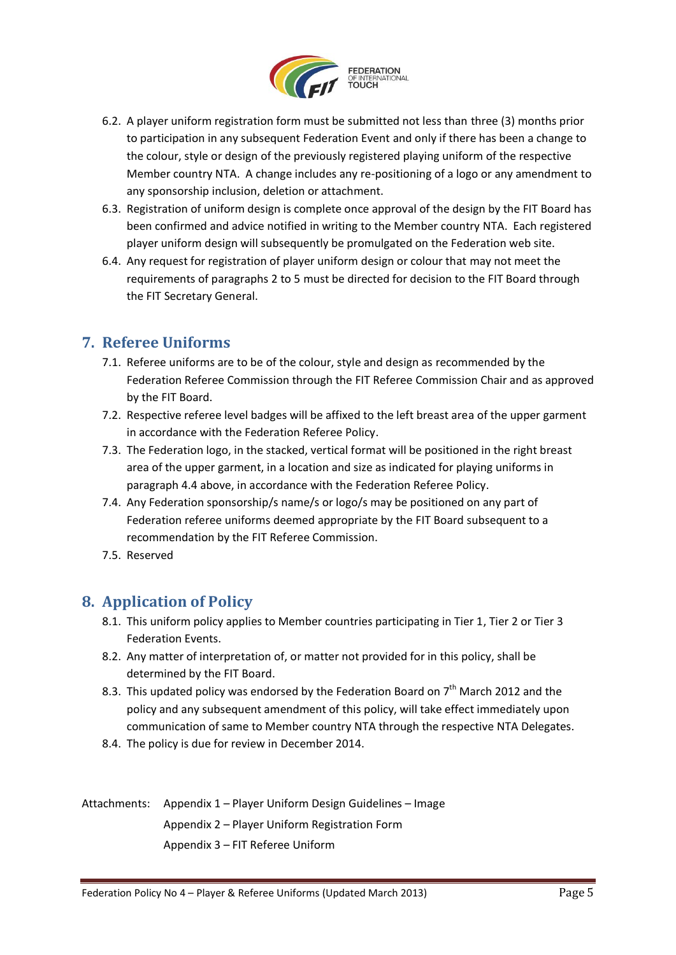

- 6.2. A player uniform registration form must be submitted not less than three (3) months prior to participation in any subsequent Federation Event and only if there has been a change to the colour, style or design of the previously registered playing uniform of the respective Member country NTA. A change includes any re-positioning of a logo or any amendment to any sponsorship inclusion, deletion or attachment.
- 6.3. Registration of uniform design is complete once approval of the design by the FIT Board has been confirmed and advice notified in writing to the Member country NTA. Each registered player uniform design will subsequently be promulgated on the Federation web site.
- 6.4. Any request for registration of player uniform design or colour that may not meet the requirements of paragraphs 2 to 5 must be directed for decision to the FIT Board through the FIT Secretary General.

### **7. Referee Uniforms**

- 7.1. Referee uniforms are to be of the colour, style and design as recommended by the Federation Referee Commission through the FIT Referee Commission Chair and as approved by the FIT Board.
- 7.2. Respective referee level badges will be affixed to the left breast area of the upper garment in accordance with the Federation Referee Policy.
- 7.3. The Federation logo, in the stacked, vertical format will be positioned in the right breast area of the upper garment, in a location and size as indicated for playing uniforms in paragraph 4.4 above, in accordance with the Federation Referee Policy.
- 7.4. Any Federation sponsorship/s name/s or logo/s may be positioned on any part of Federation referee uniforms deemed appropriate by the FIT Board subsequent to a recommendation by the FIT Referee Commission.
- 7.5. Reserved

### **8. Application of Policy**

- 8.1. This uniform policy applies to Member countries participating in Tier 1, Tier 2 or Tier 3 Federation Events.
- 8.2. Any matter of interpretation of, or matter not provided for in this policy, shall be determined by the FIT Board.
- 8.3. This updated policy was endorsed by the Federation Board on  $7<sup>th</sup>$  March 2012 and the policy and any subsequent amendment of this policy, will take effect immediately upon communication of same to Member country NTA through the respective NTA Delegates.
- 8.4. The policy is due for review in December 2014.

Attachments: Appendix 1 – Player Uniform Design Guidelines – Image Appendix 2 – Player Uniform Registration Form Appendix 3 – FIT Referee Uniform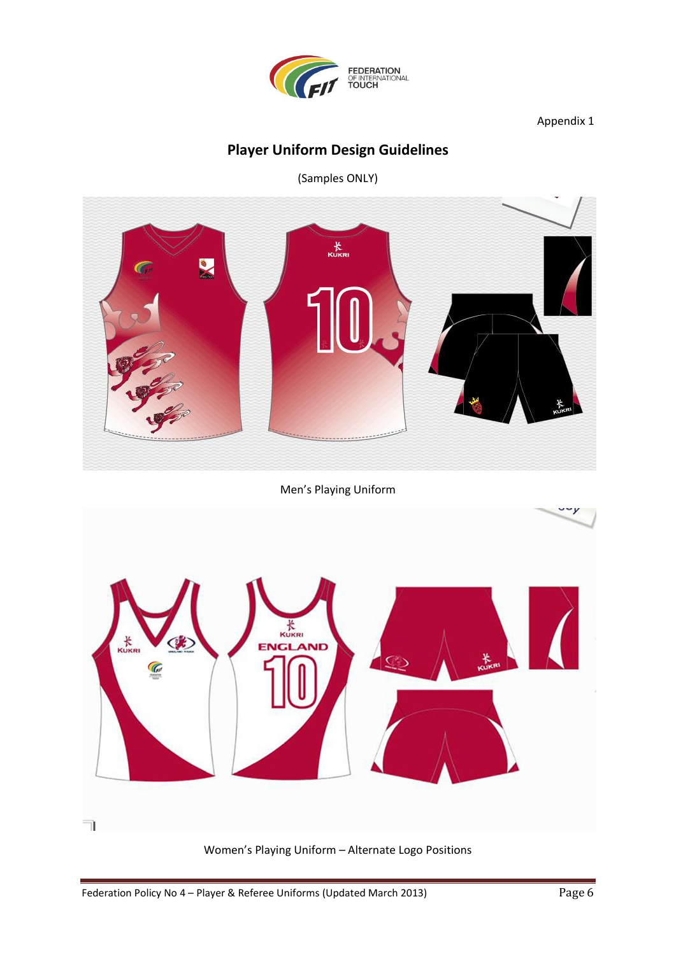

#### Appendix 1

## **Player Uniform Design Guidelines**

(Samples ONLY)



Men's Playing Uniform



Women's Playing Uniform – Alternate Logo Positions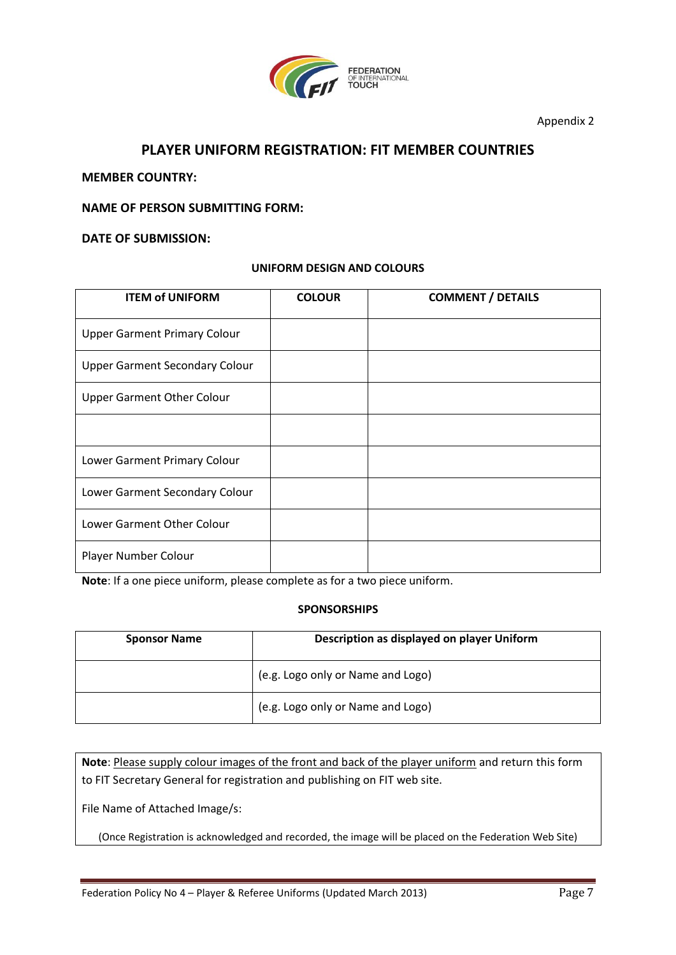

Appendix 2

#### **PLAYER UNIFORM REGISTRATION: FIT MEMBER COUNTRIES**

**MEMBER COUNTRY:** 

**NAME OF PERSON SUBMITTING FORM:**

**DATE OF SUBMISSION:**

#### **UNIFORM DESIGN AND COLOURS**

| <b>ITEM of UNIFORM</b>                | <b>COLOUR</b> | <b>COMMENT / DETAILS</b> |
|---------------------------------------|---------------|--------------------------|
| <b>Upper Garment Primary Colour</b>   |               |                          |
| <b>Upper Garment Secondary Colour</b> |               |                          |
| <b>Upper Garment Other Colour</b>     |               |                          |
|                                       |               |                          |
| Lower Garment Primary Colour          |               |                          |
| Lower Garment Secondary Colour        |               |                          |
| Lower Garment Other Colour            |               |                          |
| Player Number Colour                  |               |                          |

**Note**: If a one piece uniform, please complete as for a two piece uniform.

#### **SPONSORSHIPS**

| <b>Sponsor Name</b> | Description as displayed on player Uniform |  |
|---------------------|--------------------------------------------|--|
|                     | (e.g. Logo only or Name and Logo)          |  |
|                     | (e.g. Logo only or Name and Logo)          |  |

**Note**: Please supply colour images of the front and back of the player uniform and return this form to FIT Secretary General for registration and publishing on FIT web site.

File Name of Attached Image/s:

(Once Registration is acknowledged and recorded, the image will be placed on the Federation Web Site)